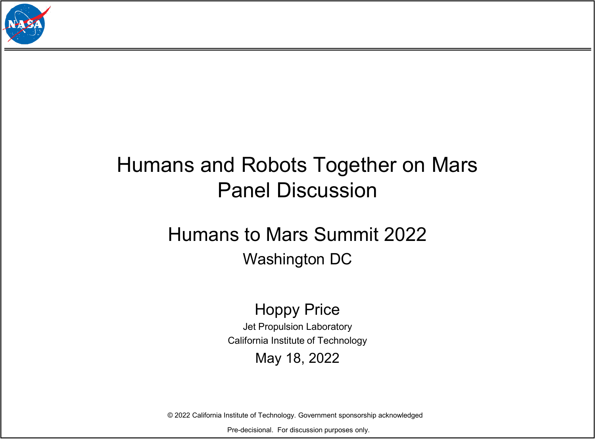

## Humans and Robots Together on Mars Panel Discussion

### Humans to Mars Summit 2022 Washington DC

#### Hoppy Price

Jet Propulsion Laboratory California Institute of Technology

#### May 18, 2022

© 2022 California Institute of Technology. Government sponsorship acknowledged

Pre-decisional. For discussion purposes only.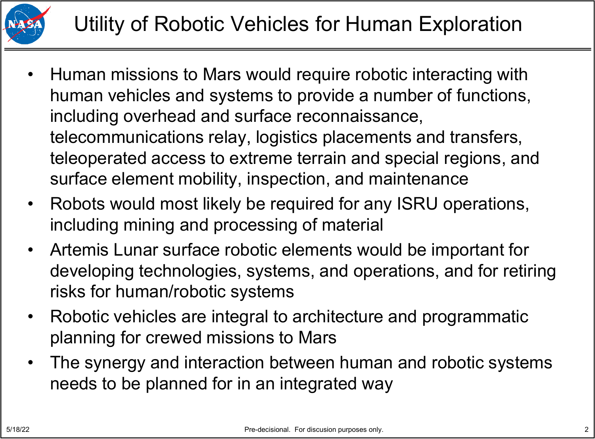

- Human missions to Mars would require robotic interacting with human vehicles and systems to provide a number of functions, including overhead and surface reconnaissance, telecommunications relay, logistics placements and transfers, teleoperated access to extreme terrain and special regions, and surface element mobility, inspection, and maintenance
- Robots would most likely be required for any ISRU operations, including mining and processing of material
- Artemis Lunar surface robotic elements would be important for developing technologies, systems, and operations, and for retiring risks for human/robotic systems
- Robotic vehicles are integral to architecture and programmatic planning for crewed missions to Mars
- The synergy and interaction between human and robotic systems needs to be planned for in an integrated way